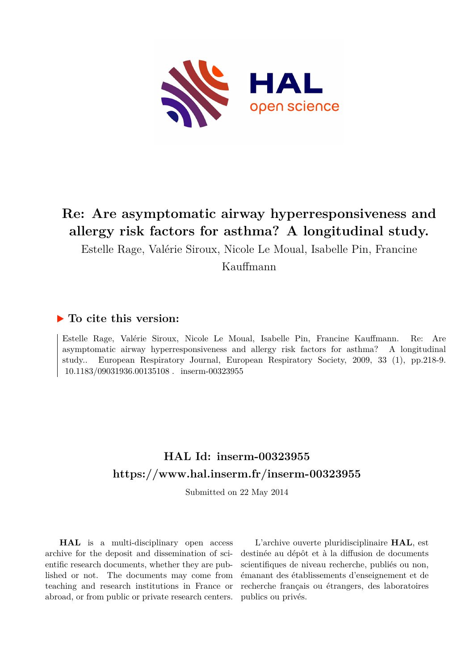

# **Re: Are asymptomatic airway hyperresponsiveness and allergy risk factors for asthma? A longitudinal study.**

Estelle Rage, Valérie Siroux, Nicole Le Moual, Isabelle Pin, Francine

Kauffmann

### **To cite this version:**

Estelle Rage, Valérie Siroux, Nicole Le Moual, Isabelle Pin, Francine Kauffmann. Re: Are asymptomatic airway hyperresponsiveness and allergy risk factors for asthma? A longitudinal study.. European Respiratory Journal, European Respiratory Society, 2009, 33 (1), pp.218-9. 10.1183/09031936.00135108. inserm-00323955

## **HAL Id: inserm-00323955 <https://www.hal.inserm.fr/inserm-00323955>**

Submitted on 22 May 2014

**HAL** is a multi-disciplinary open access archive for the deposit and dissemination of scientific research documents, whether they are published or not. The documents may come from teaching and research institutions in France or abroad, or from public or private research centers.

L'archive ouverte pluridisciplinaire **HAL**, est destinée au dépôt et à la diffusion de documents scientifiques de niveau recherche, publiés ou non, émanant des établissements d'enseignement et de recherche français ou étrangers, des laboratoires publics ou privés.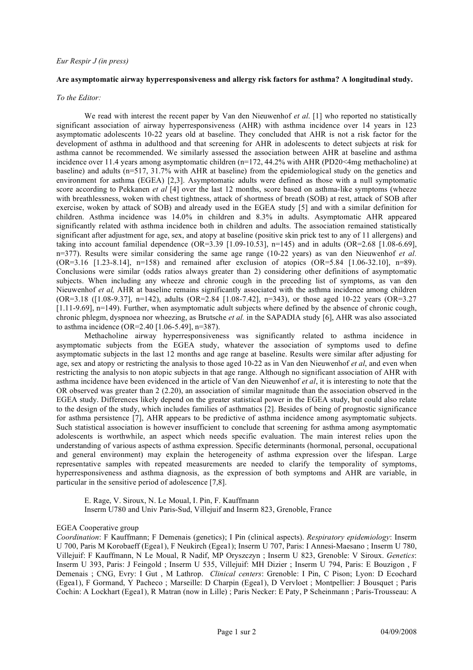#### **Are asymptomatic airway hyperresponsiveness and allergy risk factors for asthma? A longitudinal study.**

*To the Editor:*

We read with interest the recent paper by Van den Nieuwenhof *et al*. [1] who reported no statistically significant association of airway hyperresponsiveness (AHR) with asthma incidence over 14 years in 123 asymptomatic adolescents 10-22 years old at baseline. They concluded that AHR is not a risk factor for the development of asthma in adulthood and that screening for AHR in adolescents to detect subjects at risk for asthma cannot be recommended. We similarly assessed the association between AHR at baseline and asthma incidence over 11.4 years among asymptomatic children (n=172, 44.2% with AHR (PD20<4mg methacholine) at baseline) and adults (n=517, 31.7% with AHR at baseline) from the epidemiological study on the genetics and environment for asthma (EGEA) [2,3]. Asymptomatic adults were defined as those with a null symptomatic score according to Pekkanen *et al* [4] over the last 12 months, score based on asthma-like symptoms (wheeze with breathlessness, woken with chest tightness, attack of shortness of breath (SOB) at rest, attack of SOB after exercise, woken by attack of SOB) and already used in the EGEA study [5] and with a similar definition for children. Asthma incidence was 14.0% in children and 8.3% in adults. Asymptomatic AHR appeared significantly related with asthma incidence both in children and adults. The association remained statistically significant after adjustment for age, sex, and atopy at baseline (positive skin prick test to any of 11 allergens) and taking into account familial dependence  $(OR=3.39 \t[1.09-10.53], n=145)$  and in adults  $(OR=2.68 \t[1.08-6.69],$ n=377). Results were similar considering the same age range (10-22 years) as van den Nieuwenhof *et al.* (OR=3.16 [1.23-8.14], n=158) and remained after exclusion of atopics (OR=5.84 [1.06-32.10], n=89). Conclusions were similar (odds ratios always greater than 2) considering other definitions of asymptomatic subjects. When including any wheeze and chronic cough in the preceding list of symptoms, as van den Nieuwenhof *et al,* AHR at baseline remains significantly associated with the asthma incidence among children (OR=3.18 ([1.08-9.37], n=142), adults (OR=2.84 [1.08-7.42], n=343), or those aged 10-22 years (OR=3.27 [1.11-9.69], n=149). Further, when asymptomatic adult subjects where defined by the absence of chronic cough, chronic phlegm, dyspnoea nor wheezing, as Brutsche *et al.* in the SAPADIA study [6], AHR was also associated to asthma incidence (OR=2.40 [1.06-5.49], n=387).

Methacholine airway hyperresponsiveness was significantly related to asthma incidence in asymptomatic subjects from the EGEA study, whatever the association of symptoms used to define asymptomatic subjects in the last 12 months and age range at baseline. Results were similar after adjusting for age, sex and atopy or restricting the analysis to those aged 10-22 as in Van den Nieuwenhof *et al*, and even when restricting the analysis to non atopic subjects in that age range. Although no significant association of AHR with asthma incidence have been evidenced in the article of Van den Nieuwenhof *et al*, it is interesting to note that the OR observed was greater than 2 (2.20), an association of similar magnitude than the association observed in the EGEA study. Differences likely depend on the greater statistical power in the EGEA study, but could also relate to the design of the study, which includes families of asthmatics [2]. Besides of being of prognostic significance for asthma persistence [7], AHR appears to be predictive of asthma incidence among asymptomatic subjects. Such statistical association is however insufficient to conclude that screening for asthma among asymptomatic adolescents is worthwhile, an aspect which needs specific evaluation. The main interest relies upon the understanding of various aspects of asthma expression. Specific determinants (hormonal, personal, occupational and general environment) may explain the heterogeneity of asthma expression over the lifespan. Large representative samples with repeated measurements are needed to clarify the temporality of symptoms, hyperresponsiveness and asthma diagnosis, as the expression of both symptoms and AHR are variable, in particular in the sensitive period of adolescence [7,8].

E. Rage, V. Siroux, N. Le Moual, I. Pin, F. Kauffmann Inserm U780 and Univ Paris-Sud, Villejuif and Inserm 823, Grenoble, France

#### EGEA Cooperative group

*Coordination*: F Kauffmann; F Demenais (genetics); I Pin (clinical aspects). *Respiratory epidemiology*: Inserm U 700, Paris M Korobaeff (Egea1), F Neukirch (Egea1); Inserm U 707, Paris: I Annesi-Maesano ; Inserm U 780, Villejuif: F Kauffmann, N Le Moual, R Nadif, MP Oryszczyn ; Inserm U 823, Grenoble: V Siroux. *Genetics*: Inserm U 393, Paris: J Feingold ; Inserm U 535, Villejuif: MH Dizier ; Inserm U 794, Paris: E Bouzigon , F Demenais ; CNG, Evry: I Gut , M Lathrop. *Clinical centers*: Grenoble: I Pin, C Pison; Lyon: D Ecochard (Egea1), F Gormand, Y Pacheco ; Marseille: D Charpin (Egea1), D Vervloet ; Montpellier: J Bousquet ; Paris Cochin: A Lockhart (Egea1), R Matran (now in Lille) ; Paris Necker: E Paty, P Scheinmann ; Paris-Trousseau: A